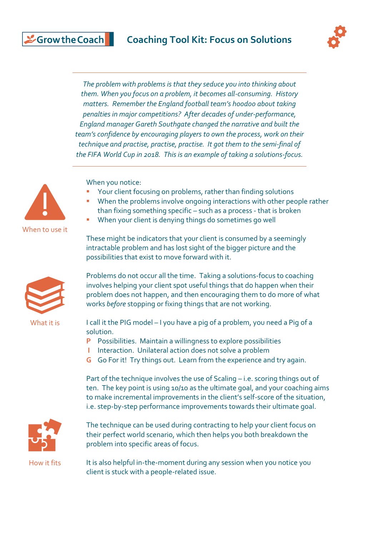

*The problem with problems is that they seduce you into thinking about them. When you focus on a problem, it becomes all-consuming. History matters. Remember the England football team's hoodoo about taking penalties in major competitions? After decades of under-performance, England manager Gareth Southgate changed the narrative and built the team's confidence by encouraging players to own the process, work on their technique and practise, practise, practise. It got them to the semi-final of the FIFA World Cup in 2018. This is an example of taking a solutions-focus.*



& Grow the Coach

When you notice:

- Your client focusing on problems, rather than finding solutions
- When the problems involve ongoing interactions with other people rather than fixing something specific – such as a process - that is broken
- When your client is denying things do sometimes go well

These might be indicators that your client is consumed by a seemingly intractable problem and has lost sight of the bigger picture and the possibilities that exist to move forward with it.



What it is

Problems do not occur all the time. Taking a solutions-focus to coaching involves helping your client spot useful things that do happen when their problem does not happen, and then encouraging them to do more of what works *before* stopping or fixing things that are not working.

I call it the PIG model – I you have a pig of a problem, you need a Pig of a solution.

- **P** Possibilities. Maintain a willingness to explore possibilities
- **I** Interaction. Unilateral action does not solve a problem
- **G** Go For it! Try things out. Learn from the experience and try again.

Part of the technique involves the use of Scaling – i.e. scoring things out of ten. The key point is using 10/10 as the ultimate goal, and your coaching aims to make incremental improvements in the client's self-score of the situation, i.e. step-by-step performance improvements towards their ultimate goal.



The technique can be used during contracting to help your client focus on their perfect world scenario, which then helps you both breakdown the problem into specific areas of focus.

It is also helpful in-the-moment during any session when you notice you client is stuck with a people-related issue.